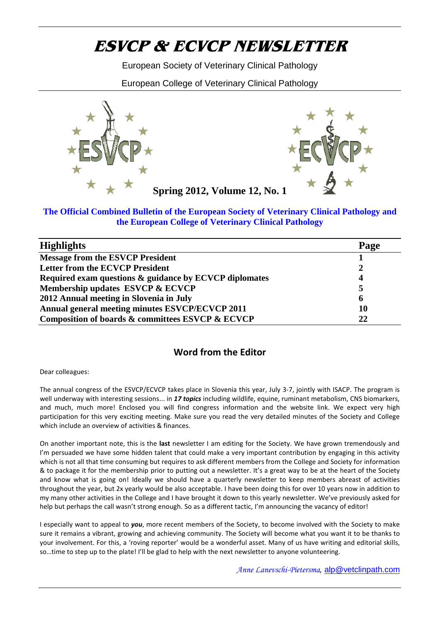# ESVCP & ECVCP NEWSLETTE.

European Society of Veterinary Clinical Pathology

European College of Veterinary Clinical Pathology

# Spring 2012, Volume12, No. 1

#### The Official Combined Bulletin of the European Society of Veterinary Clinical Pathology and the European College of Veterinary Clinical Pathology

| <b>Highlights</b>                                      | Page |
|--------------------------------------------------------|------|
| Message from the ESVCP President                       |      |
| Letter from the ECVCP President                        | 2    |
| Required exam questions & guidance by ECVCP diplomates | 4    |
| Membership updates ESVCP & ECVCP                       | 5    |
| 2012 Annual meeting in Slovenia in July                | 6    |
| Annual general meeting minutes ESVCP/ECVCP 201         | 10   |
| Composition of boards & committees ESVCP & ECVCP       | 22   |

# Worthrom the Editor

Dear colleagues:

The annual congress of theek EsSC plCame / ECO wo Phia July3-7, yearntly with ISACP. The pr well underway with interiensit7 intopicinecssisuidoimsg wildlife, equine, ruminant metaboli and much, mucEnnonlosed you ovo inlg rfeins infoarmodattibone websit Veelien xkpect very hi participation for this very Mexteits ngemeeting ad the very detailed minutes of which include an overview of activities & finances.

On another important nosteewslettertheam editing for the Society. We have g I m persuaded we have some hidden talent that could make a very importar which is not all that time consuming nbunterme betries from at she oCioffeeree and Societ & to package it for thperionrentob penusthipg out la sneaw greetate rway to be at the heart and know what is logoecihlgy owne! should have a quartp-rlny emebwes betate retaostke fe act throughout the buy e 2ax yearly would be lahs avea doce entad bolieng this for over 10 years my many other activities in the College and I have brow equiped shawn at socked is out help but perhaps the call waSson ats sardinfg eenoughetic, I m announcing the vacancy of the vacancy of the solution of the vacancy of editor.

I especially pwpaenatlytoopuam ore renceennibers of the do Slone coethy e involved with the Soci sure eitnains a vigbroawntng and cacchime winThitg Secciety will be come what you want it t your involvement that insoving repwoor the dibe a wonder Whay I cafs suss thave writing and edit so & time to stepp up teth lthe be glad to help with the next newsletter to anyone

#### Anne LafPeiveschingwatclinpath.com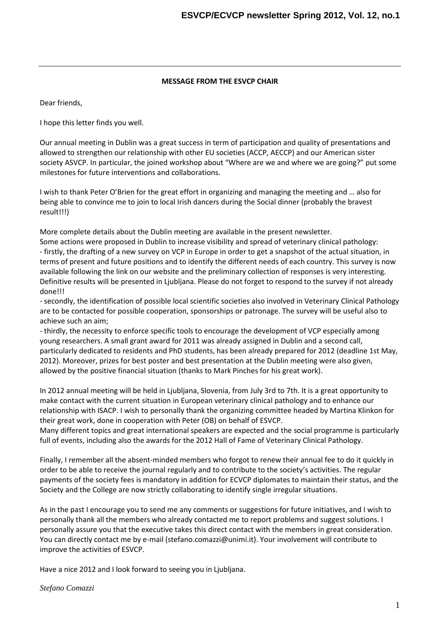#### MESSAGE FROM OTHHAIRE SVCP

Dear friends,

I hope this letter finds you well.

Ou annual meeting in Dublin was a great success in term of participation allowed to strengthen our relationship with other EU societies (ACCF society  $ASVCP$ . The particular about on Where are we and where we are q milestones for future interventions and collaborations.

I wish to Pteetan **Q** Brien for theing pergat neifation of and managing the meeting and wish being able to convince ame tish jodian to roso during the Social dinner (prob result!!!)

More complete dethan Diusbaibnomteeting are available in the present newsl Some actions were proposed in Dublin to increase vlispathio yound spre -firby thedraft on figanew survey on VCP ing Etu a operaophis tohored earc to alsituation, terms of present and future positions andsotfoeiadoem to by uniney diffines esturme available follet ownim-leg oth our website and the prreeslipmonin**issaees**y y conl**te** cotiscting f Definities awhist be presented in Ljubljana. Please do not forget to respond to the survey if not already if no done!!!

-secolny dthe identification osfcpoenstsifiboles abband wide syned in Veterinary Clinical areo be contacted for possible cooperation, sponsorships otropatronag  $a$  chieve agou  $a$  hm;

-third the necteonsity rce specific to and online development of VCP especial young researchers. A small grant award for 2011 was already assigned particularly dedicated to residents and PhD students, has been alrea 2012) Moreover, prizes for best poster and best presentation at the D allowed by the positive financial situation (thanks to Mark Pinches for

In 2012 annual meeting will be held **ün**hy3tr**iduds7ltjanhtajsSalogreenaia, ofproporrtunit** make conta $t$  is evituation in the current simulation inclusion in the current simulation in the containce our relationship with tope C Fonlawiy shhank the organizing committee headed thegreat work, done in cooperation with Peter (OB) on behalf of ESVC Many different topics and great internation than soccional herosquare meexpected the speakers and the speakers and the internation than  $\alpha$ full of events, including also the awards forryhel 2noit 2al HPa althoof Forme of

Finally, I remember-mail nichted mateus method rs who forgot to renew their annual order to be able to recr**e** igvuel antining it countral and the tosa ot thie ist dechasion tryengular payments sof cilety fees is mand in a dition for  $E$  CnVGP diplomates to maintain the Society and the College are now strictly collaborating to identify sin

As in the past I encourage you tsoo is senuod goms and to an initiatives, and I personally thank all the members who already contacted me to report personally y as sustant the exteaclaust this direct contact with the members deration. Youan directly contraction of the factor coma $\frac{\partial}{\partial \alpha}$ unimi. When  $\alpha$  independent  $\alpha$  $improve$  the  $i$ acte  $SVCP$ .

Have a nice 2012 and I look forward to seeing you in Ljubljana.

Stefano Comazzi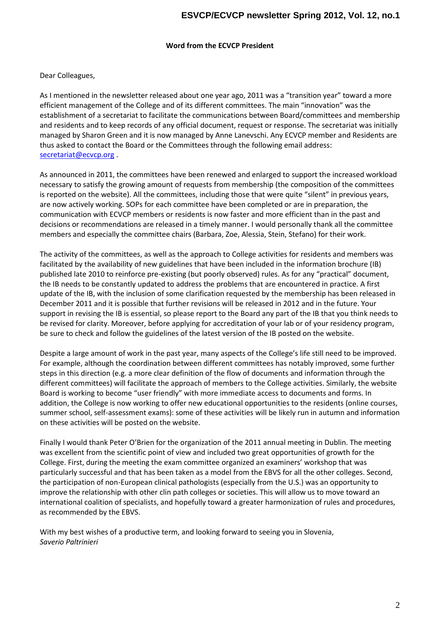#### Wortchrom tEn @ V P Pesident

 $Dear  $l\Theta$  equals  $q$ ,$ 

As I mentioned in the newsletter released about one year ago, 2011 efficient management of til stiffer learn the dest. The main innovation was establishment of a sectetahreat oton miau chilita tions between Bonoe annuble comming itt andesidents and to keep records of any official document, request or managed by Sharon Green and it is now managed by nAdn Reslidents cahrie thuasked coloract the Board or the Comfonlitotoweis gtaled molonded share the [secretariat@](mailto:secretariat@ecvcp.org)ecvcp.org

As announced in 2011, the committees have been ereine weerds and dwenk and necessary to satisfy the growing amount of requests from membershi is reported on the website). All the committees, including those that are now activelly SWOOP is for each committee have been completed or are communication with ECVECSP diese this bies resolvent faster and more efficient than in the past and in the past and more efficient than in the past and more efficient than in the past and more efficient than in the past an decisions or recommendations are released in ahtamelay I Imtahnene om hminuto of members and ald pspt the committe bearch, a Zrose (BA alressia, Stein, Stefano) for t

The activity of month the ces, as well as the approache stied ochodished and beinwibble of the contents of residents of the and members of the and members of the and members of the and members of the and members of the and facilitated by a the avoor inew guidelines that have been included in the published late 2010 to xistin for return pressorly observed) rules. As for any the IB needs to be constantly updated ttaraed ediness antificer encode figenmes the time a update of the IB, with the inclusion of some clarification requested b December 2011 and it is possible that further revisions will be relea suport in revising the IB is essential, so please report toknteheed Botaard a be revised for clarity. Motoprignation accreated ristation of your lab or of your response to a program and the be surehecck faoriblow the lignuaist of the latest vecanstional on the elements ite

Despate a ragne ount of inthous kpast year, many aspects of the College s life For example, although the coordination between molp foevreenhat scommen futretuble stespin this direction (e.g. a more clear definition of the flow of docur different committees) will facilitate the approach of members to the Board is g wollow become user friendly with more immediate access to docum addition, the College is now working to offer nerew secoleunctasti (comaince pourt summer schoassesselment exams): somewoffl the sekacytivunies autumn and on these activities will be posted on the website.

Finally I would thBarnioknPfeotre those organ2in blank impromulation heese ting in Dublin. The was excéllent the scientific poinith of uview two dgreat opportunities of grov College. First, during the meeting the nexeaxnam cownoon mokistheo-op othopathwizaesd a particularly successful and that has been taken as a model from the the participation of enam clinical pathologits to the scand by potor thunity to improve the relationschiimpatwhoid the ogtehose coineties. This will allow us to move international coalition difoppleutilay itseaty a greathtaterm onization of rules and pro as recommended by the EBVS.

With myt bove is he so f a productive term, a enient glooking Slf, on vevasirad to Saverio Paltrinieri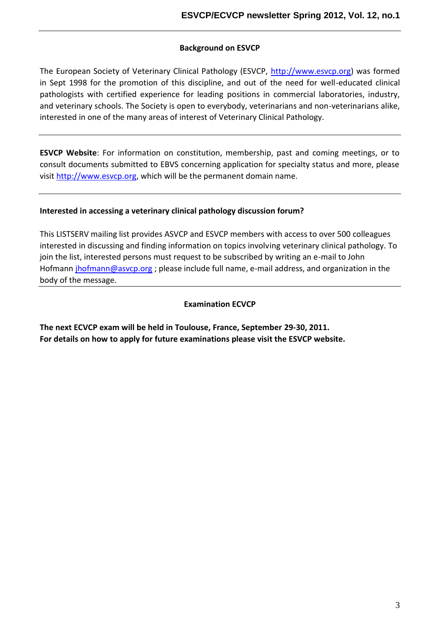#### Background on ESVCP

The European Seotoeireinyarcy f OV linical Pathology (WWW.ENGYA) Compresed in Sept 1998 for the promotion of this discipliemely cannield out in the a pathologists with certified expoesitions for cloeman interposial laborator and veterinary is the Socondisety is open to every body, evention rainarnian malia interested in one of the many areas of interest of Veterinary C

ESVCP Web Fossintce it mifiation on constitution, membership, past and consult documents submitted to EBVS concerning application f vis[http://www.e](http://www.esvcp.org)svw.piohgwill bentehnet potemmeain name.

Interested in accessing a veterinary clinical pathology discuss

This LISTSERV mailing list provides ASVCP and ESVCP membe interested in discussing and finding iim goventaetriion aroyn ctloippiiles at invarith join the list, interested persons must requesmail to subscribed Ho fm a  $j$  minor fm ann  $@$  as; vp be a soe include -mfualill na admole e sos, aantido no rigna thin  $\bm{z}$ body of the message.

#### Examination ECVCP

The next ECVCP exam will be held in T209BIO u2s0ed, 1 France, Septem For details on how futubu appen a hyinic and home se visit the ESVCP website.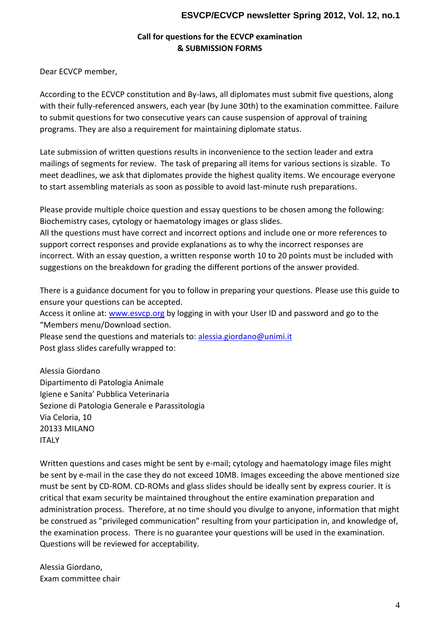Call for questions for the OECVCP examina & SUBMISSION FORMS

Dear ECVCP member,

According to the  $ECVCP$  dan wast, it all this diplomate  $\frac{1}{2}$  and  $\frac{1}{2}$  are must submit five with their effuel tognced answers, each year (by June 30th) to the e to submistiques for two consecutive years can cause suspension programs. They are also a requirement for maintaining diploma

Late submission of written questions results in inconvenience t mailings examents for review. The task of preparing all items for meet deadlines, we ask that diplomates provide the highest quality items. to start assembling materials as so-on niudie puosisipile ptaoraatvion chos. last

Please provide multiple choice question chose as any quebe dioslow Biochemistry cases, cytology or haematology images or glass sl All the questions must have correct and ion to me on orgetime fier and ei support correct responses and provide explanations as to why t incorrect. With an essay question, a written response worth 10 suggestions on the breakdewohiffer egarta portions of the answer provided.

There is a guidance document for you to folPd waisne purse of a hiins gy use ensure your questions can be accepted. Access it owline easuccopy logging in with your User ID and passwo Members menu/Download section. Please send the questional and materical sot@unimi.it Post glass slides carefully wrapped to:

Alessia Giordano Dipartimento di Patologia Animale Igiene e Sanita Pubblica Veterinaria Sezione di Patologia Generale e Parassitologia Via Celoria, 10 20133 MILANO ITALY

Written questions and cases manilight ty boolsogy and  $\theta$  aremation given in the sent by  $\theta$  in the a be sent-mbayilein the case they do not exceed 10MB. Images exce must be sen RODM. CRODDMs and glass slides should be ideally sent critical that exam security  $\phi$  heomitath teaiennet dire heaumination preparation the same of the example of the only sension and the sension of the paration of the sension of the sension of the sension of the sension of administration process. Therefore, at no time should you divul be construed as "privileged communication" resulting from your the examinimat rocess. There is no guarantee your questions will Questions will be reviewed for acceptability.

Alessia Giordano , Exam committee chair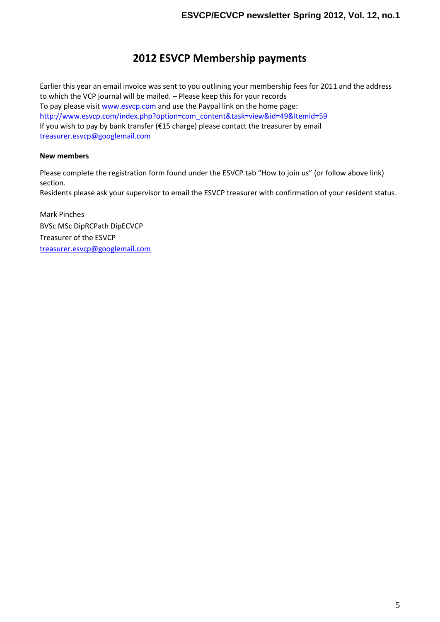# 2012ESVCP Membership payments

Earlier this year an email invuotilione invogery osuern to the mobers of and feterse facord 2018 to which the VCP journaP heids to determined is for your records To pay pleas we wish it change the Paypal link on the home page [http://www.esvcp.co](http://www.esvcp.com/index.php)m/index.php?option=com\_content&task=view&id=4 If you wish to pay by  $\frac{1}{2}$  band that  $\frac{1}{2}$  and  $\frac{1}{2}$  for  $\frac{1}{2}$  contact the treasurer by email treas[urer.esvcp@go](mailto:esvcp@googlemail.com)oglemail.com

New members

Please complete the regist in adteibe EcSt van Childrin (os follow above link) section . Residents please ask your supervisor to email the ESVCP treasurer with confirmation of  $\overline{a}$ 

Mark Pinches BVSc MSc DipRCPath DipECVCP Treasurer of the ESVCP treas[urer.esvcp@go](mailto:esvcp@googlemail.com)oglemail.com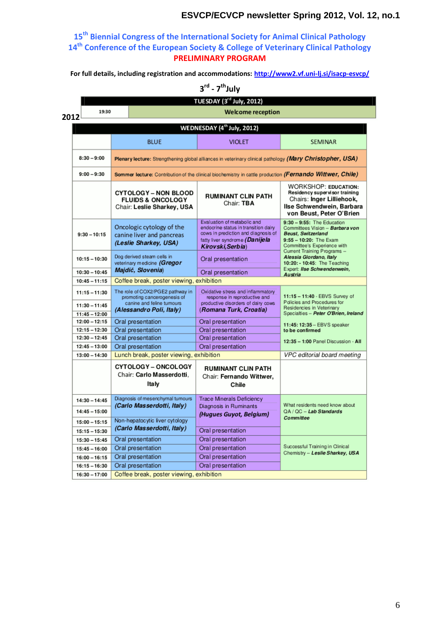15<sup>th</sup> Biennial Congress of the Iyntform Animal Staietal Patholog 14<sup>h</sup>Conference of the European Society & College of Veteri PRELIMINARY PROGRAM

For full dectbuildsing inregistration and <u>anothomi/muondwa2i-loinssui/nibecescop</u>cp/

 $3^d$ - $7^h$ July

2012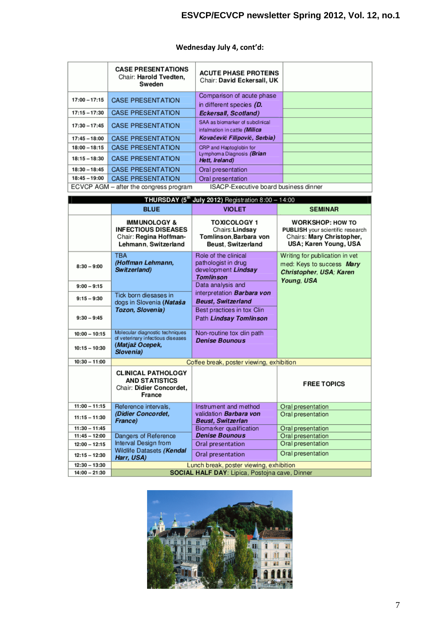|                 | <b>CASE PRESENTATIONS</b><br>Chair: Harold Tvedten,<br>Sweden | <b>ACUTE PHASE PROTEINS</b><br>Chair: David Eckersall, UK        |  |
|-----------------|---------------------------------------------------------------|------------------------------------------------------------------|--|
| $17:00 - 17:15$ | <b>CASE PRESENTATION</b>                                      | Comparison of acute phase<br>in different species (D.            |  |
| $17:15 - 17:30$ | <b>CASE PRESENTATION</b>                                      | Eckersall, Scotland)                                             |  |
| $17:30 - 17:45$ | <b>CASE PRESENTATION</b>                                      | SAA as biomarker of subclinical<br>infalmation in cattle (Milica |  |
| $17:45 - 18:00$ | <b>CASE PRESENTATION</b>                                      | Kovačević Filipović, Serbia)                                     |  |
| $18:00 - 18:15$ | <b>CASE PRESENTATION</b>                                      | CRP and Haptoglobin for                                          |  |
| $18:15 - 18:30$ | <b>CASE PRESENTATION</b>                                      | Lymphoma Diagnosis (Brian<br>Hett. Ireland)                      |  |
| $18:30 - 18:45$ | <b>CASE PRESENTATION</b>                                      | Oral presentation                                                |  |
| $18:45 - 19:00$ | <b>CASE PRESENTATION</b>                                      | Oral presentation                                                |  |
|                 | ECVCP AGM – after the congress program                        | ISACP-Executive board business dinner                            |  |

# **Wednesday July 4, cont'd:**

| THURSDAY (5 <sup>th</sup> July 2012) Registration $8:00 - 14:00$ |                                                                                                         |                                                                                        |                                                                                                                          |  |  |  |  |  |
|------------------------------------------------------------------|---------------------------------------------------------------------------------------------------------|----------------------------------------------------------------------------------------|--------------------------------------------------------------------------------------------------------------------------|--|--|--|--|--|
|                                                                  | <b>BLUE</b>                                                                                             | <b>VIOLET</b>                                                                          | <b>SEMINAR</b>                                                                                                           |  |  |  |  |  |
|                                                                  | <b>IMMUNOLOGY &amp;</b><br><b>INFECTIOUS DISEASES</b><br>Chair: Regina Hoffman-<br>Lehmann, Switzerland | <b>TOXICOLOGY 1</b><br>Chairs: Lindsav<br>Tomlinson, Barbara von<br>Beust, Switzerland | <b>WORKSHOP: HOW TO</b><br><b>PUBLISH</b> your scientific research<br>Chairs: Mary Christopher,<br>USA; Karen Young, USA |  |  |  |  |  |
| $8:30 - 9:00$                                                    | <b>TBA</b><br>(Hoffman Lehmann,<br>Switzerland)                                                         | Role of the clinical<br>pathologist in drug<br>development Lindsay<br><b>Tomlinson</b> | Writing for publication in vet<br>med: Keys to success Mary<br>Christopher, USA; Karen<br>Young, USA                     |  |  |  |  |  |
| $9:00 - 9:15$                                                    |                                                                                                         | Data analysis and                                                                      |                                                                                                                          |  |  |  |  |  |
| $9:15 - 9:30$                                                    | Tick born diesases in<br>dogs in Slovenia (Nataša                                                       | interpretation <b>Barbara von</b><br><b>Beust, Switzerland</b>                         |                                                                                                                          |  |  |  |  |  |
| $9:30 - 9:45$                                                    | Tozon, Slovenia)                                                                                        | Best practices in tox Clin<br>Path Lindsay Tomlinson                                   |                                                                                                                          |  |  |  |  |  |
| $10:00 - 10:15$                                                  | Molecular diagnostic techniques<br>of veterinary infectious diseases                                    | Non-routine tox clin path                                                              |                                                                                                                          |  |  |  |  |  |
| $10:15 - 10:30$                                                  | (Matjaž Ocepek,<br>Slovenia)                                                                            | <b>Denise Bounous</b>                                                                  |                                                                                                                          |  |  |  |  |  |
| $10:30 - 11:00$                                                  |                                                                                                         | Coffee break, poster viewing, exhibition                                               |                                                                                                                          |  |  |  |  |  |
|                                                                  | <b>CLINICAL PATHOLOGY</b><br><b>AND STATISTICS</b><br>Chair: Didier Concordet,<br>France                |                                                                                        | <b>FREE TOPICS</b>                                                                                                       |  |  |  |  |  |
| $11:00 - 11:15$                                                  | Reference intervals.                                                                                    | Instrument and method                                                                  | Oral presentation                                                                                                        |  |  |  |  |  |
| $11:15 - 11:30$                                                  | (Didier Concordet,<br>France)                                                                           | validation Barbara von<br><b>Beust, Switzerlan</b>                                     | Oral presentation                                                                                                        |  |  |  |  |  |
| $11:30 - 11:45$                                                  |                                                                                                         | Biomarker qualification                                                                | Oral presentation                                                                                                        |  |  |  |  |  |
| $11:45 - 12:00$                                                  | Dangers of Reference                                                                                    | <b>Denise Bounous</b>                                                                  | Oral presentation                                                                                                        |  |  |  |  |  |
| $12:00 - 12:15$                                                  | Interval Design from                                                                                    | Oral presentation                                                                      | Oral presentation                                                                                                        |  |  |  |  |  |
| $12:15 - 12:30$                                                  | Wildlife Datasets (Kendal<br>Harr, USA)                                                                 | Oral presentation                                                                      | Oral presentation                                                                                                        |  |  |  |  |  |
| $12:30 - 13:30$                                                  |                                                                                                         | Lunch break, poster viewing, exhibition                                                |                                                                                                                          |  |  |  |  |  |
| $14:00 - 21:30$                                                  |                                                                                                         | SOCIAL HALF DAY: Lipica, Postojna cave, Dinner                                         |                                                                                                                          |  |  |  |  |  |

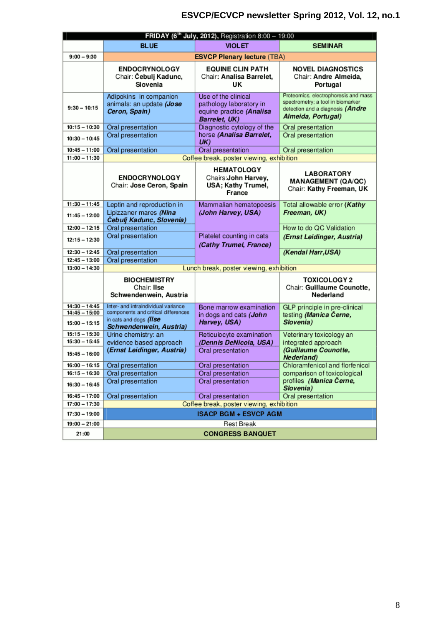|                                    |                                                                                          | <b>FRIDAY (6<sup>th</sup> July, 2012)</b> , Registration 8:00 - 19:00                       |                                                                                                                                     |
|------------------------------------|------------------------------------------------------------------------------------------|---------------------------------------------------------------------------------------------|-------------------------------------------------------------------------------------------------------------------------------------|
|                                    | <b>BLUE</b>                                                                              | <b>VIOLET</b>                                                                               | <b>SEMINAR</b>                                                                                                                      |
| $9:00 - 9:30$                      |                                                                                          | <b>ESVCP Plenary lecture (TBA)</b>                                                          |                                                                                                                                     |
|                                    | <b>ENDOCRYNOLOGY</b><br>Chair: Čebulj Kadunc,<br>Slovenia                                | <b>EQUINE CLIN PATH</b><br>Chair: Analisa Barrelet,<br>UΚ                                   | <b>NOVEL DIAGNOSTICS</b><br>Chair: Andre Almeida,<br>Portugal                                                                       |
| $9:30 - 10:15$                     | Adipokins in companion<br>animals: an update (Jose<br>Ceron, Spain)                      | Use of the clinical<br>pathology laboratory in<br>equine practice (Analisa<br>Barrelet, UK) | Proteomics, electrophoresis and mass<br>spectrometry; a tool in biomarker<br>detection and a diagnosis (Andre<br>Almeida, Portugal) |
| $10:15 - 10:30$                    | Oral presentation                                                                        | Diagnostic cytology of the                                                                  | Oral presentation                                                                                                                   |
| $10:30 - 10:45$                    | Oral presentation                                                                        | horse (Analisa Barrelet,<br>U(K)                                                            | Oral presentation                                                                                                                   |
| $10:45 - 11:00$                    | Oral presentation                                                                        | Oral presentation                                                                           | Oral presentation                                                                                                                   |
| $11:00 - 11:30$                    |                                                                                          | Coffee break, poster viewing, exhibition                                                    |                                                                                                                                     |
|                                    | <b>ENDOCRYNOLOGY</b><br>Chair: Jose Ceron, Spain                                         | <b>HEMATOLOGY</b><br>Chairs: John Harvey,<br>USA; Kathy Trumel,<br>France                   | <b>LABORATORY</b><br><b>MANAGEMENT (QA/QC)</b><br>Chair: Kathy Freeman, UK                                                          |
| $11:30 - 11:45$                    | Leptin and reproduction in                                                               | Mammalian hematopoesis                                                                      | Total allowable error (Kathy                                                                                                        |
| $11:45 - 12:00$                    | Lipizzaner mares (Nina<br>Čebulj Kadunc, Slovenia)                                       | (John Harvey, USA)                                                                          | Freeman, UK)                                                                                                                        |
| $12:00 - 12:15$                    | Oral presentation                                                                        |                                                                                             | How to do QC Validation                                                                                                             |
| $12:15 - 12:30$                    | Oral presentation                                                                        | Platelet counting in cats<br>(Cathy Trumel, France)                                         | (Ernst Leidinger, Austria)                                                                                                          |
| $12:30 - 12:45$                    | Oral presentation                                                                        |                                                                                             | (Kendal Harr, USA)                                                                                                                  |
| $12:45 - 13:00$                    | Oral presentation                                                                        |                                                                                             |                                                                                                                                     |
| $13:00 - 14:30$                    |                                                                                          | Lunch break, poster viewing, exhibition                                                     |                                                                                                                                     |
|                                    | <b>BIOCHEMISTRY</b><br>Chair: Ilse<br>Schwendenwein, Austria                             |                                                                                             | <b>TOXICOLOGY 2</b><br>Chair: Guillaume Counotte,<br>Nederland                                                                      |
| $14:30 - 14:45$                    | Inter- and intraindividual variance                                                      | Bone marrow examination                                                                     | GLP principle in pre-clinical                                                                                                       |
| $14:45 - 15:00$<br>$15:00 - 15:15$ | components and critical differences<br>in cats and dogs (IIse<br>Schwendenwein, Austria) | in dogs and cats (John<br>Harvey, USA)                                                      | testing (Manica Černe,<br>Slovenia)                                                                                                 |
| $15:15 - 15:30$                    | Urine chemistry: an                                                                      | Reticulocyte examination                                                                    | Veterinary toxicology an                                                                                                            |
| $15:30 - 15:45$                    | evidence based approach                                                                  | (Dennis DeNicola, USA)                                                                      | integrated approach                                                                                                                 |
| $15:45 - 16:00$                    | (Ernst Leidinger, Austria)                                                               | Oral presentation                                                                           | (Guillaume Counotte,<br>Nederland)                                                                                                  |
| $16:00 - 16:15$                    | Oral presentation                                                                        | Oral presentation                                                                           | Chloramfenicol and florfenicol                                                                                                      |
| $16:15 - 16:30$                    | Oral presentation                                                                        | Oral presentation                                                                           | comparison of toxicological                                                                                                         |
| $16:30 - 16:45$                    | Oral presentation                                                                        | Oral presentation                                                                           | profiles (Manica Černe,<br>Slovenia)                                                                                                |
| $16:45 - 17:00$                    | Oral presentation                                                                        | Oral presentation                                                                           | Oral presentation                                                                                                                   |
| $17:00 - 17:30$                    |                                                                                          | Coffee break, poster viewing, exhibition                                                    |                                                                                                                                     |
| $17:30 - 19:00$<br>$19:00 - 21:00$ |                                                                                          | <b>ISACP BGM + ESVCP AGM</b><br><b>Rest Break</b>                                           |                                                                                                                                     |
|                                    |                                                                                          |                                                                                             |                                                                                                                                     |
| 21:00                              |                                                                                          | <b>CONGRESS BANQUET</b>                                                                     |                                                                                                                                     |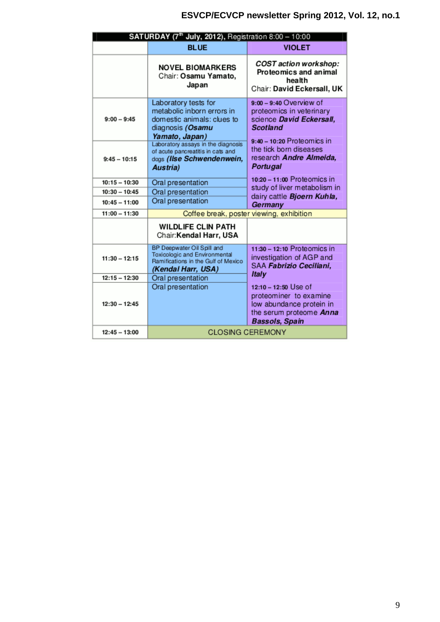| SATURDAY (7 <sup>th</sup> July, 2012), Registration 8:00 - 10:00 |                                                                                                                          |                                                                                                                                       |  |  |  |  |
|------------------------------------------------------------------|--------------------------------------------------------------------------------------------------------------------------|---------------------------------------------------------------------------------------------------------------------------------------|--|--|--|--|
|                                                                  | <b>BLUE</b>                                                                                                              | <b>VIOLET</b>                                                                                                                         |  |  |  |  |
|                                                                  | <b>NOVEL BIOMARKERS</b><br>Chair: Osamu Yamato,<br>Japan                                                                 | COST action workshop:<br>Proteomics and animal<br>health<br>Chair: David Eckersall, UK                                                |  |  |  |  |
| $9:00 - 9:45$                                                    | Laboratory tests for<br>metabolic inborn errors in<br>domestic animals: clues to<br>diagnosis (Osamu<br>Yamato, Japan)   | $9:00 - 9:40$ Overview of<br>proteomics in veterinary<br>science David Eckersall,<br><b>Scotland</b><br>9:40 - 10:20 Proteomics in    |  |  |  |  |
| $9:45 - 10:15$                                                   | Laboratory assays in the diagnosis<br>of acute pancreatitis in cats and<br>dogs (Ilse Schwendenwein,<br>Austria)         | the tick born diseases<br>research Andre Almeida.<br><b>Portugal</b>                                                                  |  |  |  |  |
| $10:15 - 10:30$                                                  | Oral presentation                                                                                                        | 10:20 - 11:00 Proteomics in                                                                                                           |  |  |  |  |
| $10:30 - 10:45$                                                  | Oral presentation                                                                                                        | study of liver metabolism in                                                                                                          |  |  |  |  |
| $10:45 - 11:00$                                                  | Oral presentation                                                                                                        | dairy cattle Bjoern Kuhla,<br>Germany                                                                                                 |  |  |  |  |
| $11:00 - 11:30$                                                  |                                                                                                                          | Coffee break, poster viewing, exhibition                                                                                              |  |  |  |  |
|                                                                  | <b>WILDLIFE CLIN PATH</b><br>Chair: Kendal Harr, USA                                                                     |                                                                                                                                       |  |  |  |  |
| $11:30 - 12:15$                                                  | BP Deepwater Oil Spill and<br>Toxicologic and Environmental<br>Ramifications in the Gulf of Mexico<br>(Kendal Harr, USA) | $11:30 - 12:10$ Proteomics in<br>investigation of AGP and<br>SAA Fabrizio Ceciliani,<br>Italy                                         |  |  |  |  |
| $12:15 - 12:30$                                                  | Oral presentation                                                                                                        |                                                                                                                                       |  |  |  |  |
| $12:30 - 12:45$                                                  | Oral presentation                                                                                                        | 12:10 - 12:50 Use of<br>proteominer to examine<br>low abundance protein in<br>the serum proteome <b>Anna</b><br><b>Bassols, Spain</b> |  |  |  |  |
| $12:45 - 13:00$                                                  |                                                                                                                          | <b>CLOSING CEREMONY</b>                                                                                                               |  |  |  |  |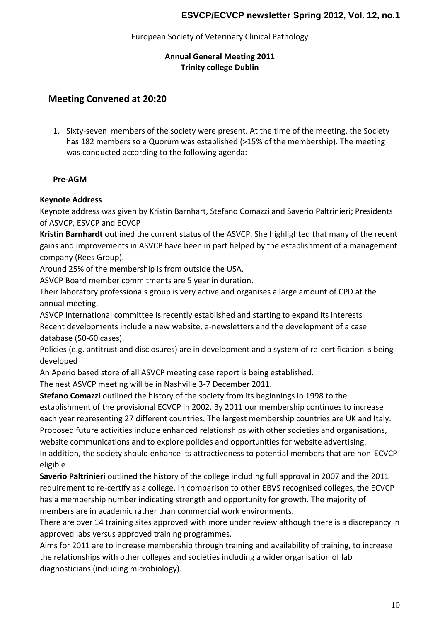#### European Society of Veterinary Clinical Pathology

#### **Annual General Meeting 2011 Trinity college Dublin**

# **Meeting Convened at 20:20**

1. Sixty-seven members of the society were present. At the time of the meeting, the Society has 182 members so a Quorum was established (>15% of the membership). The meeting was conducted according to the following agenda:

#### **Pre-AGM**

#### **Keynote Address**

Keynote address was given by Kristin Barnhart, Stefano Comazzi and Saverio Paltrinieri; Presidents of ASVCP, ESVCP and ECVCP

**Kristin Barnhardt** outlined the current status of the ASVCP. She highlighted that many of the recent gains and improvements in ASVCP have been in part helped by the establishment of a management company (Rees Group).

Around 25% of the membership is from outside the USA.

ASVCP Board member commitments are 5 year in duration.

Their laboratory professionals group is very active and organises a large amount of CPD at the annual meeting.

ASVCP International committee is recently established and starting to expand its interests Recent developments include a new website, e-newsletters and the development of a case database (50-60 cases).

Policies (e.g. antitrust and disclosures) are in development and a system of re-certification is being developed

An Aperio based store of all ASVCP meeting case report is being established.

The nest ASVCP meeting will be in Nashville 3-7 December 2011.

**Stefano Comazzi** outlined the history of the society from its beginnings in 1998 to the establishment of the provisional ECVCP in 2002. By 2011 our membership continues to increase each year representing 27 different countries. The largest membership countries are UK and Italy. Proposed future activities include enhanced relationships with other societies and organisations, website communications and to explore policies and opportunities for website advertising. In addition, the society should enhance its attractiveness to potential members that are non-ECVCP eligible

**Saverio Paltrinieri** outlined the history of the college including full approval in 2007 and the 2011 requirement to re-certify as a college. In comparison to other EBVS recognised colleges, the ECVCP has a membership number indicating strength and opportunity for growth. The majority of members are in academic rather than commercial work environments.

There are over 14 training sites approved with more under review although there is a discrepancy in approved labs versus approved training programmes.

Aims for 2011 are to increase membership through training and availability of training, to increase the relationships with other colleges and societies including a wider organisation of lab diagnosticians (including microbiology).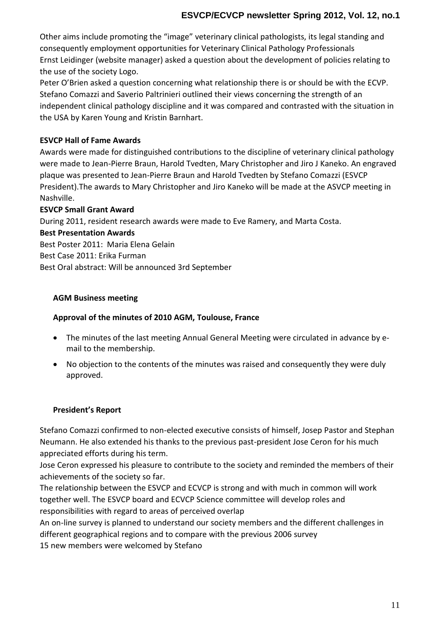Other aims include promoting the "image" veterinary clinical pathologists, its legal standing and consequently employment opportunities for Veterinary Clinical Pathology Professionals Ernst Leidinger (website manager) asked a question about the development of policies relating to the use of the society Logo.

Peter O'Brien asked a question concerning what relationship there is or should be with the ECVP. Stefano Comazzi and Saverio Paltrinieri outlined their views concerning the strength of an independent clinical pathology discipline and it was compared and contrasted with the situation in the USA by Karen Young and Kristin Barnhart.

### **ESVCP Hall of Fame Awards**

Awards were made for distinguished contributions to the discipline of veterinary clinical pathology were made to Jean-Pierre Braun, Harold Tvedten, Mary Christopher and Jiro J Kaneko. An engraved plaque was presented to Jean-Pierre Braun and Harold Tvedten by Stefano Comazzi (ESVCP President).The awards to Mary Christopher and Jiro Kaneko will be made at the ASVCP meeting in Nashville.

### **ESVCP Small Grant Award**

During 2011, resident research awards were made to Eve Ramery, and Marta Costa.

#### **Best Presentation Awards**

Best Poster 2011: Maria Elena Gelain Best Case 2011: Erika Furman Best Oral abstract: Will be announced 3rd September

### **AGM Business meeting**

#### **Approval of the minutes of 2010 AGM, Toulouse, France**

- The minutes of the last meeting Annual General Meeting were circulated in advance by email to the membership.
- No objection to the contents of the minutes was raised and consequently they were duly approved.

# **President's Report**

Stefano Comazzi confirmed to non-elected executive consists of himself, Josep Pastor and Stephan Neumann. He also extended his thanks to the previous past-president Jose Ceron for his much appreciated efforts during his term.

Jose Ceron expressed his pleasure to contribute to the society and reminded the members of their achievements of the society so far.

The relationship between the ESVCP and ECVCP is strong and with much in common will work together well. The ESVCP board and ECVCP Science committee will develop roles and responsibilities with regard to areas of perceived overlap

An on-line survey is planned to understand our society members and the different challenges in different geographical regions and to compare with the previous 2006 survey

15 new members were welcomed by Stefano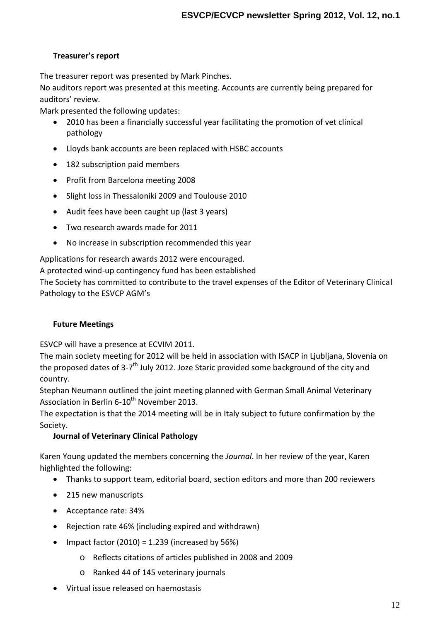### **Treasurer's report**

The treasurer report was presented by Mark Pinches.

No auditors report was presented at this meeting. Accounts are currently being prepared for auditors' review.

Mark presented the following updates:

- 2010 has been a financially successful year facilitating the promotion of vet clinical pathology
- Lloyds bank accounts are been replaced with HSBC accounts
- 182 subscription paid members
- Profit from Barcelona meeting 2008
- Slight loss in Thessaloniki 2009 and Toulouse 2010
- Audit fees have been caught up (last 3 years)
- Two research awards made for 2011
- No increase in subscription recommended this year

Applications for research awards 2012 were encouraged.

A protected wind-up contingency fund has been established

The Society has committed to contribute to the travel expenses of the Editor of Veterinary Clinical Pathology to the ESVCP AGM's

#### **Future Meetings**

ESVCP will have a presence at ECVIM 2011.

The main society meeting for 2012 will be held in association with ISACP in Ljubljana, Slovenia on the proposed dates of 3-7<sup>th</sup> July 2012. Joze Staric provided some background of the city and country.

Stephan Neumann outlined the joint meeting planned with German Small Animal Veterinary Association in Berlin 6-10<sup>th</sup> November 2013.

The expectation is that the 2014 meeting will be in Italy subject to future confirmation by the Society.

# **Journal of Veterinary Clinical Pathology**

Karen Young updated the members concerning the *Journal*. In her review of the year, Karen highlighted the following:

- Thanks to support team, editorial board, section editors and more than 200 reviewers
- 215 new manuscripts
- Acceptance rate: 34%
- Rejection rate 46% (including expired and withdrawn)
- Impact factor  $(2010) = 1.239$  (increased by 56%)
	- o Reflects citations of articles published in 2008 and 2009
	- o Ranked 44 of 145 veterinary journals
- Virtual issue released on haemostasis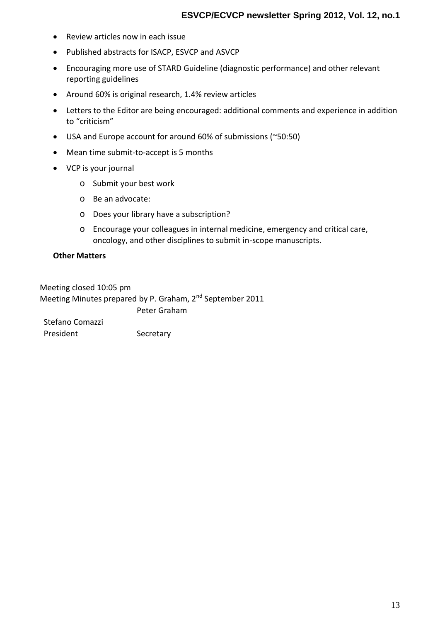- Review articles now in each issue
- Published abstracts for ISACP, ESVCP and ASVCP
- Encouraging more use of STARD Guideline (diagnostic performance) and other relevant reporting guidelines
- Around 60% is original research, 1.4% review articles
- Letters to the Editor are being encouraged: additional comments and experience in addition to "criticism"
- USA and Europe account for around 60% of submissions (~50:50)
- Mean time submit-to-accept is 5 months
- VCP is your journal
	- o Submit your best work
	- o Be an advocate:
	- o Does your library have a subscription?
	- o Encourage your colleagues in internal medicine, emergency and critical care, oncology, and other disciplines to submit in-scope manuscripts.

#### **Other Matters**

Meeting closed 10:05 pm Meeting Minutes prepared by P. Graham, 2<sup>nd</sup> September 2011 Stefano Comazzi Peter Graham President Secretary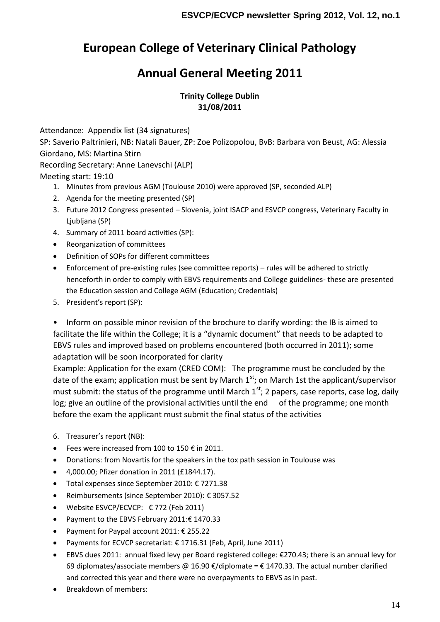# **European College of Veterinary Clinical Pathology**

# **Annual General Meeting 2011**

# **Trinity College Dublin 31/08/2011**

Attendance: Appendix list (34 signatures)

SP: Saverio Paltrinieri, NB: Natali Bauer, ZP: Zoe Polizopolou, BvB: Barbara von Beust, AG: Alessia Giordano, MS: Martina Stirn

Recording Secretary: Anne Lanevschi (ALP)

# Meeting start: 19:10

- 1. Minutes from previous AGM (Toulouse 2010) were approved (SP, seconded ALP)
- 2. Agenda for the meeting presented (SP)
- 3. Future 2012 Congress presented Slovenia, joint ISACP and ESVCP congress, Veterinary Faculty in Ljubljana (SP)
- 4. Summary of 2011 board activities (SP):
- Reorganization of committees
- Definition of SOPs for different committees
- Enforcement of pre-existing rules (see committee reports) rules will be adhered to strictly henceforth in order to comply with EBVS requirements and College guidelines- these are presented the Education session and College AGM (Education; Credentials)
- 5. President's report (SP):

• Inform on possible minor revision of the brochure to clarify wording: the IB is aimed to facilitate the life within the College; it is a "dynamic document" that needs to be adapted to EBVS rules and improved based on problems encountered (both occurred in 2011); some adaptation will be soon incorporated for clarity

Example: Application for the exam (CRED COM): The programme must be concluded by the date of the exam; application must be sent by March  $1<sup>st</sup>$ ; on March 1st the applicant/supervisor must submit: the status of the programme until March  $1<sup>st</sup>$ ; 2 papers, case reports, case log, daily log; give an outline of the provisional activities until the end of the programme; one month before the exam the applicant must submit the final status of the activities

- 6. Treasurer's report (NB):
- Fees were increased from 100 to 150  $\epsilon$  in 2011.
- Donations: from Novartis for the speakers in the tox path session in Toulouse was
- 4,000.00; Pfizer donation in 2011 (£1844.17).
- Total expenses since September 2010: € 7271.38
- Reimbursements (since September 2010): € 3057.52
- Website ESVCP/ECVCP:  $\epsilon$  772 (Feb 2011)
- Payment to the EBVS February 2011:€ 1470.33
- Payment for Paypal account 2011: € 255.22
- Payments for ECVCP secretariat: € 1716.31 (Feb, April, June 2011)
- EBVS dues 2011: annual fixed levy per Board registered college: €270.43; there is an annual levy for 69 diplomates/associate members @ 16.90  $\epsilon$ /diplomate =  $\epsilon$  1470.33. The actual number clarified and corrected this year and there were no overpayments to EBVS as in past.
- Breakdown of members: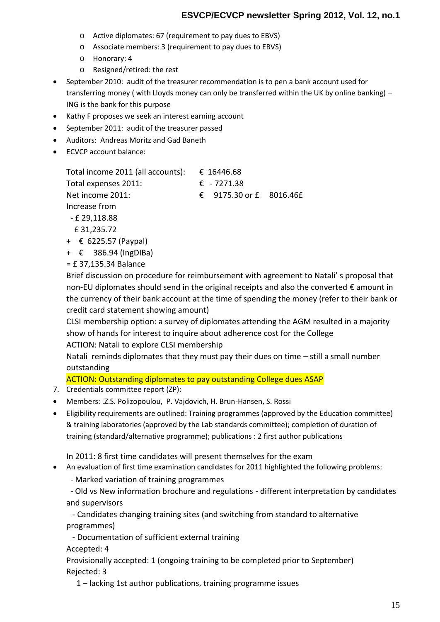- o Active diplomates: 67 (requirement to pay dues to EBVS)
- o Associate members: 3 (requirement to pay dues to EBVS)
- o Honorary: 4
- o Resigned/retired: the rest
- September 2010: audit of the treasurer recommendation is to pen a bank account used for transferring money ( with Lloyds money can only be transferred within the UK by online banking) – ING is the bank for this purpose
- Kathy F proposes we seek an interest earning account
- September 2011: audit of the treasurer passed
- Auditors: Andreas Moritz and Gad Baneth
- ECVCP account balance:

| Total income 2011 (all accounts): | € 16446.68              |  |
|-----------------------------------|-------------------------|--|
| Total expenses 2011:              | € $-7271.38$            |  |
| Net income 2011:                  | € 9175.30 or £ 8016.46£ |  |
| Increase from                     |                         |  |
| - £ 29,118.88                     |                         |  |
| C 34 335 73                       |                         |  |

- £ 31,235.72
- + € 6225.57 (Paypal)
- + € 386.94 (IngDIBa)
- = £ 37,135.34 Balance

Brief discussion on procedure for reimbursement with agreement to Natali' s proposal that non-EU diplomates should send in the original receipts and also the converted € amount in the currency of their bank account at the time of spending the money (refer to their bank or credit card statement showing amount)

CLSI membership option: a survey of diplomates attending the AGM resulted in a majority show of hands for interest to inquire about adherence cost for the College ACTION: Natali to explore CLSI membership

Natali reminds diplomates that they must pay their dues on time – still a small number outstanding

ACTION: Outstanding diplomates to pay outstanding College dues ASAP

- 7. Credentials committee report (ZP):
- Members: .Z.S. Polizopoulou, P. Vajdovich, H. Brun-Hansen, S. Rossi
- Eligibility requirements are outlined: Training programmes (approved by the Education committee) & training laboratories (approved by the Lab standards committee); completion of duration of training (standard/alternative programme); publications : 2 first author publications

In 2011: 8 first time candidates will present themselves for the exam

An evaluation of first time examination candidates for 2011 highlighted the following problems:

- Marked variation of training programmes

- Old vs New information brochure and regulations - different interpretation by candidates and supervisors

- Candidates changing training sites (and switching from standard to alternative programmes)

- Documentation of sufficient external training

Accepted: 4

Provisionally accepted: 1 (ongoing training to be completed prior to September) Rejected: 3

1 – lacking 1st author publications, training programme issues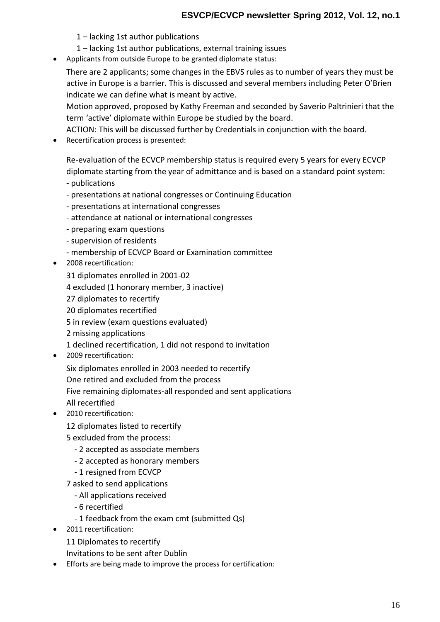- 1 lacking 1st author publications
- 1 lacking 1st author publications, external training issues
- Applicants from outside Europe to be granted diplomate status:

There are 2 applicants; some changes in the EBVS rules as to number of years they must be active in Europe is a barrier. This is discussed and several members including Peter O'Brien indicate we can define what is meant by active.

Motion approved, proposed by Kathy Freeman and seconded by Saverio Paltrinieri that the term 'active' diplomate within Europe be studied by the board.

ACTION: This will be discussed further by Credentials in conjunction with the board.

• Recertification process is presented:

Re-evaluation of the ECVCP membership status is required every 5 years for every ECVCP diplomate starting from the year of admittance and is based on a standard point system:

- publications

- presentations at national congresses or Continuing Education
- presentations at international congresses
- attendance at national or international congresses
- preparing exam questions
- supervision of residents
- membership of ECVCP Board or Examination committee
- 2008 recertification:
	- 31 diplomates enrolled in 2001-02
	- 4 excluded (1 honorary member, 3 inactive)
	- 27 diplomates to recertify
	- 20 diplomates recertified
	- 5 in review (exam questions evaluated)
	- 2 missing applications
	- 1 declined recertification, 1 did not respond to invitation
- 2009 recertification:

Six diplomates enrolled in 2003 needed to recertify One retired and excluded from the process Five remaining diplomates-all responded and sent applications All recertified

• 2010 recertification:

12 diplomates listed to recertify

5 excluded from the process:

- 2 accepted as associate members
- 2 accepted as honorary members
- 1 resigned from ECVCP
- 7 asked to send applications
	- All applications received
	- 6 recertified
	- 1 feedback from the exam cmt (submitted Qs)
- 2011 recertification:
	- 11 Diplomates to recertify

Invitations to be sent after Dublin

Efforts are being made to improve the process for certification: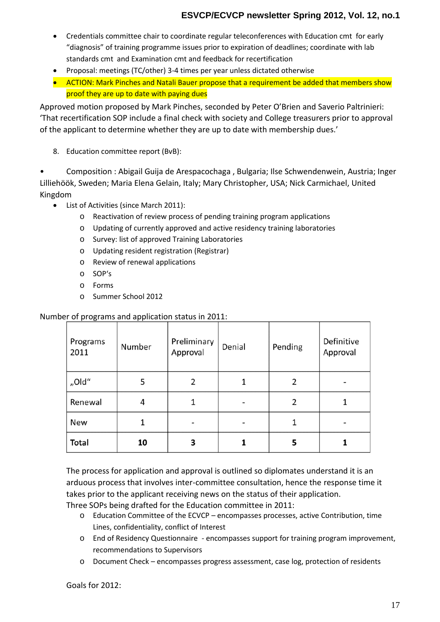- Credentials committee chair to coordinate regular teleconferences with Education cmt for early "diagnosis" of training programme issues prior to expiration of deadlines; coordinate with lab standards cmt and Examination cmt and feedback for recertification
- Proposal: meetings (TC/other) 3-4 times per year unless dictated otherwise
- ACTION: Mark Pinches and Natali Bauer propose that a requirement be added that members show proof they are up to date with paying dues

Approved motion proposed by Mark Pinches, seconded by Peter O'Brien and Saverio Paltrinieri: 'That recertification SOP include a final check with society and College treasurers prior to approval of the applicant to determine whether they are up to date with membership dues.'

8. Education committee report (BvB):

• Composition : Abigail Guija de Arespacochaga , Bulgaria; Ilse Schwendenwein, Austria; Inger Lilliehöök, Sweden; Maria Elena Gelain, Italy; Mary Christopher, USA; Nick Carmichael, United Kingdom

- List of Activities (since March 2011):
	- o Reactivation of review process of pending training program applications
	- o Updating of currently approved and active residency training laboratories
	- o Survey: list of approved Training Laboratories
	- o Updating resident registration (Registrar)
	- o Review of renewal applications
	- o SOP's
	- o Forms
	- o Summer School 2012

### Number of programs and application status in 2011:

| Programs<br>2011 | Number | Preliminary<br>Approval | Denial | Pending | Definitive<br>Approval |
|------------------|--------|-------------------------|--------|---------|------------------------|
| "Old"            | 5      | 2                       |        | 2       |                        |
| Renewal          | 4      |                         |        | 2       |                        |
| New              |        |                         |        | 1       |                        |
| <b>Total</b>     | 10     | 3                       |        | 5       |                        |

The process for application and approval is outlined so diplomates understand it is an arduous process that involves inter-committee consultation, hence the response time it takes prior to the applicant receiving news on the status of their application.

Three SOPs being drafted for the Education committee in 2011:

- o Education Committee of the ECVCP encompasses processes, active Contribution, time Lines, confidentiality, conflict of Interest
- o End of Residency Questionnaire encompasses support for training program improvement, recommendations to Supervisors
- o Document Check encompasses progress assessment, case log, protection of residents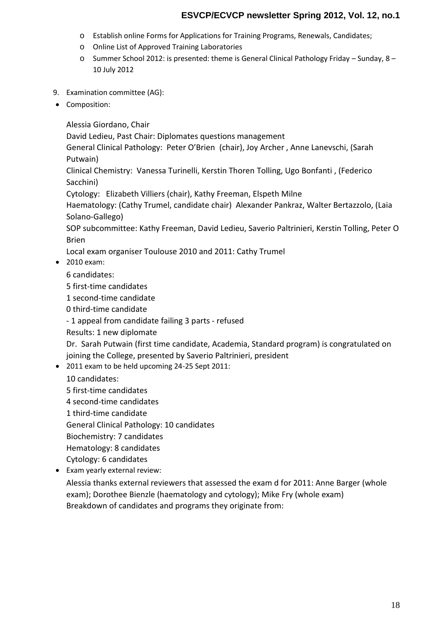- o Establish online Forms for Applications for Training Programs, Renewals, Candidates;
- o Online List of Approved Training Laboratories
- o Summer School 2012: is presented: theme is General Clinical Pathology Friday Sunday, 8 10 July 2012
- 9. Examination committee (AG):
- Composition:

Alessia Giordano, Chair

David Ledieu, Past Chair: Diplomates questions management

General Clinical Pathology: Peter O'Brien (chair), Joy Archer , Anne Lanevschi, (Sarah Putwain)

Clinical Chemistry: Vanessa Turinelli, Kerstin Thoren Tolling, Ugo Bonfanti , (Federico Sacchini)

Cytology: Elizabeth Villiers (chair), Kathy Freeman, Elspeth Milne

Haematology: (Cathy Trumel, candidate chair) Alexander Pankraz, Walter Bertazzolo, (Laia Solano-Gallego)

SOP subcommittee: Kathy Freeman, David Ledieu, Saverio Paltrinieri, Kerstin Tolling, Peter O Brien

Local exam organiser Toulouse 2010 and 2011: Cathy Trumel

2010 exam:

6 candidates:

- 5 first-time candidates
- 1 second-time candidate

0 third-time candidate

- 1 appeal from candidate failing 3 parts - refused

Results: 1 new diplomate

Dr. Sarah Putwain (first time candidate, Academia, Standard program) is congratulated on joining the College, presented by Saverio Paltrinieri, president

• 2011 exam to be held upcoming 24-25 Sept 2011:

10 candidates:

- 5 first-time candidates
- 4 second-time candidates
- 1 third-time candidate

General Clinical Pathology: 10 candidates

- Biochemistry: 7 candidates
- Hematology: 8 candidates
- Cytology: 6 candidates
- Exam yearly external review:

Alessia thanks external reviewers that assessed the exam d for 2011: Anne Barger (whole exam); Dorothee Bienzle (haematology and cytology); Mike Fry (whole exam) Breakdown of candidates and programs they originate from: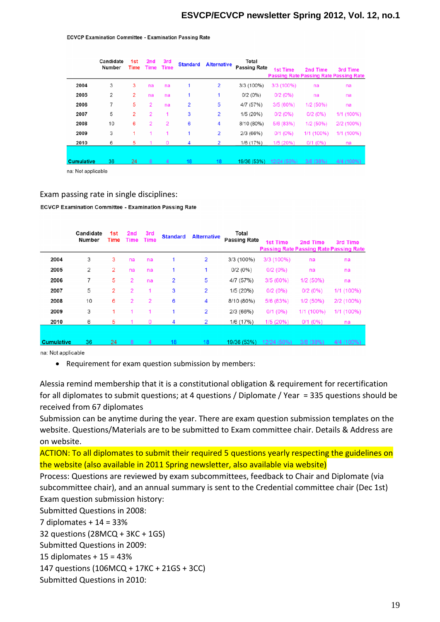#### **ECVCP Examination Committee - Examination Passing Rate**

|                   | Candidate<br>Number | 1st<br>Time | 2nd<br>Time    | 3rd<br><b>Time</b> | <b>Standard</b> | <b>Alternative</b> | Total<br><b>Passing Rate</b> | <b>1st Time</b> | 2nd Time   | 3rd Time<br><b>Passing Rate Passing Rate Passing Rate</b> |
|-------------------|---------------------|-------------|----------------|--------------------|-----------------|--------------------|------------------------------|-----------------|------------|-----------------------------------------------------------|
| 2004              | 3                   | 3           | na             | na                 |                 | 2                  | 3/3 (100%)                   | 3/3 (100%)      | na         | na                                                        |
| 2005              | $\overline{2}$      | 2           | na             | na                 |                 |                    | 0/2(0%)                      | 0/2(0%)         | na         | na                                                        |
| 2006              |                     | 5           | $\overline{2}$ | na                 | 2               | 5                  | 4/7 (57%)                    | 3/5(60%)        | 1/2(50%)   | na                                                        |
| 2007              | 5                   | 2           | $\overline{2}$ |                    | 3               | 2                  | 1/5 (20%)                    | 0/2(0%)         | 0/2(0%)    | 1/1 (100%)                                                |
| 2008              | 10                  | 6           | $\overline{2}$ | $\overline{2}$     | 6               | 4                  | 8/10 (80%)                   | 5/6 (83%)       | 1/2(50%)   | 2/2 (100%)                                                |
| 2009              | 3                   | 1           | 1              |                    |                 | 2                  | 2/3(66%)                     | $0/1$ (0%)      | 1/1 (100%) | 1/1 (100%)                                                |
| 2010              | 6                   | 5           |                | 0                  | 4               | 2                  | 1/6 (17%)                    | 1/5 (20%)       | $0/1$ (0%) | na                                                        |
| <b>Cumulative</b> | 36                  | 24          | 8              | 4                  | 18              | 18 <sup>1</sup>    | 19/36 (53%)                  | 12/24 (50%)     | 3/8(38%)   | 4/4 (100%)                                                |

na: Not applicable

#### Exam passing rate in single disciplines:

ECVCP Examination Committee - Examination Passing Rate

|                   | Candidate<br>Number | 1st<br>Time | 2nd<br>Time    | 3rd<br><b>Time</b> | <b>Standard</b> | <b>Alternative</b> | Total<br><b>Passing Rate</b> | <b>1st Time</b> | 2nd Time   | 3rd Time<br><b>Passing Rate Passing Rate Passing Rate</b> |
|-------------------|---------------------|-------------|----------------|--------------------|-----------------|--------------------|------------------------------|-----------------|------------|-----------------------------------------------------------|
| 2004              | 3                   | 3           | na             | na                 | 1               | 2                  | 3/3 (100%)                   | 3/3 (100%)      | na         | na                                                        |
| 2005              | 2                   | 2           | na             | na                 |                 |                    | 0/2(0%)                      | 0/2(0%)         | na         | na                                                        |
| 2006              | 7                   | 5           | 2              | na                 | 2               | 5                  | 4/7 (57%)                    | 3/5(60%)        | 1/2(50%)   | na                                                        |
| 2007              | 5                   | 2           | $\overline{2}$ |                    | 3               | 2                  | 1/5(20%)                     | 0/2(0%)         | 0/2(0%)    | 1/1 (100%)                                                |
| 2008              | 10                  | 6           | 2              | $\overline{2}$     | 6               | 4                  | 8/10 (80%)                   | 5/6 (83%)       | 1/2(50%)   | 2/2 (100%)                                                |
| 2009              | 3                   |             |                | 1                  |                 | 2                  | 2/3(66%)                     | $0/1$ (0%)      | 1/1 (100%) | 1/1 (100%)                                                |
| 2010              | 6                   | 5           |                | 0                  | 4               | 2                  | 1/6 (17%)                    | 1/5 (20%)       | $0/1$ (0%) | na                                                        |
|                   |                     |             |                |                    |                 |                    |                              |                 |            |                                                           |
| <b>Cumulative</b> | 36                  | 24          | 8              | $\overline{4}$     | 18              | 18                 | 19/36 (53%)                  | 12/24 (50%)     | 3/8(38%)   | 4/4 (100%)                                                |

na: Not applicable

Alessia remind membership that it is a constitutional obligation & requirement for recertification for all diplomates to submit questions; at 4 questions / Diplomate / Year = 335 questions should be received from 67 diplomates

Submission can be anytime during the year. There are exam question submission templates on the website. Questions/Materials are to be submitted to Exam committee chair. Details & Address are on website.

ACTION: To all diplomates to submit their required 5 questions yearly respecting the guidelines on the website (also available in 2011 Spring newsletter, also available via website)

Process: Questions are reviewed by exam subcommittees, feedback to Chair and Diplomate (via subcommittee chair), and an annual summary is sent to the Credential committee chair (Dec 1st) Exam question submission history:

Submitted Questions in 2008:

7 diplomates + 14 = 33%

32 questions (28MCQ + 3KC + 1GS)

Submitted Questions in 2009:

15 diplomates + 15 = 43%

147 questions (106MCQ + 17KC + 21GS + 3CC)

Submitted Questions in 2010:

Requirement for exam question submission by members: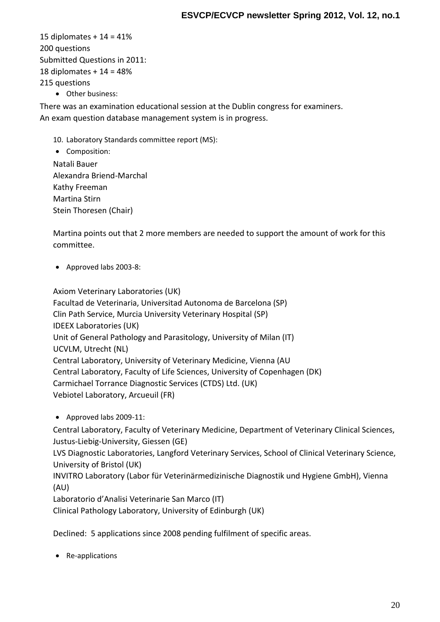15 diplomates + 14 = 41% 200 questions Submitted Questions in 2011: 18 diplomates + 14 = 48% 215 questions

Other business:

There was an examination educational session at the Dublin congress for examiners. An exam question database management system is in progress.

10. Laboratory Standards committee report (MS):

• Composition: Natali Bauer Alexandra Briend-Marchal Kathy Freeman Martina Stirn Stein Thoresen (Chair)

Martina points out that 2 more members are needed to support the amount of work for this committee.

Approved labs 2003-8:

Axiom Veterinary Laboratories (UK) Facultad de Veterinaria, Universitad Autonoma de Barcelona (SP) Clin Path Service, Murcia University Veterinary Hospital (SP) IDEEX Laboratories (UK) Unit of General Pathology and Parasitology, University of Milan (IT) UCVLM, Utrecht (NL) Central Laboratory, University of Veterinary Medicine, Vienna (AU Central Laboratory, Faculty of Life Sciences, University of Copenhagen (DK) Carmichael Torrance Diagnostic Services (CTDS) Ltd. (UK) Vebiotel Laboratory, Arcueuil (FR)

Approved labs 2009-11:

Central Laboratory, Faculty of Veterinary Medicine, Department of Veterinary Clinical Sciences, Justus-Liebig-University, Giessen (GE)

LVS Diagnostic Laboratories, Langford Veterinary Services, School of Clinical Veterinary Science, University of Bristol (UK)

INVITRO Laboratory (Labor für Veterinärmedizinische Diagnostik und Hygiene GmbH), Vienna (AU)

Laboratorio d'Analisi Veterinarie San Marco (IT)

Clinical Pathology Laboratory, University of Edinburgh (UK)

Declined: 5 applications since 2008 pending fulfilment of specific areas.

• Re-applications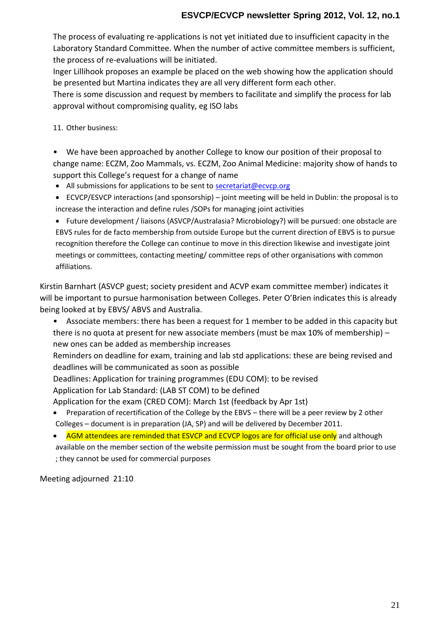The process of example interestions is not yet initiated due to insufficient Labora Sdayndard Committee. When the number of active comm the proceses valumetions will be initiated.

Inger Lillihook proposes an example be placed on the web sh be presented but Marhienya ainediaclates ry different form each other There is some discussion and request by members to facilitation approval without compromising quality, eg ISO labs

11Other business:

" We have been approached by anouther  $\widehat{\omega}$  worshing to their proposition of their proposition of their proposition of their proposition of their proposition of the integration of the integration of the integration of change name: ECZM, Zoo Mammals, vs. ECZM, Zoo Animal Me support this College s request for a change of name ð· All submissions for application restations cent pt. org.

ð· ECVCP/ESVCP interactionsj $\phi$  and mesoning ravhilip be held in Dublin: t increase the interaction and define rules /SOPs for managing join ð· Future development / liuasis roan saMs (iAs BoVoG oPl/oAgy?) will be pursued: one EBVS rules for de facto membership from outside Europe but the d recognition therefore the College can continue to mogwasteinion this direction of the college can continue to mogwastein dimits direction there fore meetings or committees, contacting meeting/ committee reps of other organisations with common affiliations.

Kirstin Barnhart (ASVCP guest; society president and ACVP examenties will be important to pursueetwhearmoChoislaetgions. b Peter O Brien indicates will being looked at by EBVS/ ABVS and Australia.

" Associate members: there has been a request for 1 member there is no quota at present for new  $\alpha$  sms  $a \times 10$ % membership of must be must be must be must be must be must new ones can be added as membership increases Reminders on deadline for exam, training and lab std applica deadlines will be communicated as soon as possible  $D$ eadlines: Application of roarmt maeisn i(nEqD $\mathbf{D}$  COM): to be revised Application for Lab Standard: (LAB ST COM) to be defined Application for the exam (CRED COM): March 1st (feedback b ð· Preparation of recertification of tthheenGeowlielogiebebyatphee.EEHBoshYSiew by Colleges cument is in preparation (JA, SP) and will be delivered by ð· <mark>AGM attendees are reminded that ESVCP and E</mark> & n/dC *B*lil**bgog** hare f available on the member section of the website permission must b ; they cannot be used for commercial purposes

Meeting adjourned 21:10